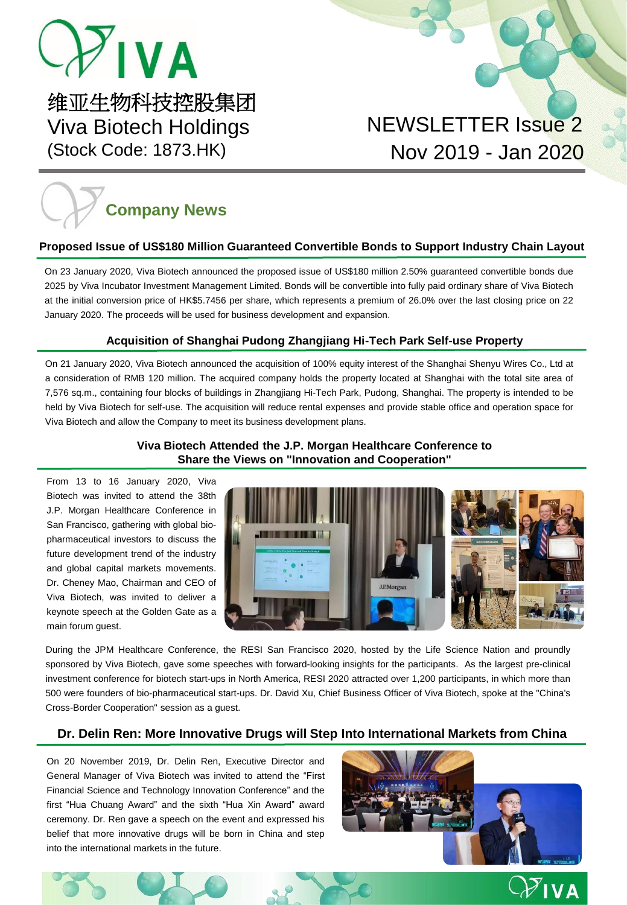# $-\frac{1}{2}$  IVA

维亚生物科技控股集团 Viva Biotech Holdings (Stock Code: 1873.HK)

### NEWSLETTER Issue 2 Nov 2019 - Jan 2020

# **Company News**

#### **Proposed Issue of US\$180 Million Guaranteed Convertible Bonds to Support Industry Chain Layout**

On 23 January 2020, Viva Biotech announced the proposed issue of US\$180 million 2.50% guaranteed convertible bonds due 2025 by Viva Incubator Investment Management Limited. Bonds will be convertible into fully paid ordinary share of Viva Biotech at the initial conversion price of HK\$5.7456 per share, which represents a premium of 26.0% over the last closing price on 22 January 2020. The proceeds will be used for business development and expansion.

#### **Acquisition of Shanghai Pudong Zhangjiang Hi-Tech Park Self-use Property**

On 21 January 2020, Viva Biotech announced the acquisition of 100% equity interest of the Shanghai Shenyu Wires Co., Ltd at a consideration of RMB 120 million. The acquired company holds the property located at Shanghai with the total site area of 7,576 sq.m., containing four blocks of buildings in Zhangjiang Hi-Tech Park, Pudong, Shanghai. The property is intended to be held by Viva Biotech for self-use. The acquisition will reduce rental expenses and provide stable office and operation space for Viva Biotech and allow the Company to meet its business development plans.

#### **Viva Biotech Attended the J.P. Morgan Healthcare Conference to Share the Views on "Innovation and Cooperation"**

From 13 to 16 January 2020, Viva Biotech was invited to attend the 38th J.P. Morgan Healthcare Conference in San Francisco, gathering with global biopharmaceutical investors to discuss the future development trend of the industry and global capital markets movements. Dr. Cheney Mao, Chairman and CEO of Viva Biotech, was invited to deliver a keynote speech at the Golden Gate as a main forum guest.



During the JPM Healthcare Conference, the RESI San Francisco 2020, hosted by the Life Science Nation and proundly sponsored by Viva Biotech, gave some speeches with forward-looking insights for the participants. As the largest pre-clinical investment conference for biotech start-ups in North America, RESI 2020 attracted over 1,200 participants, in which more than 500 were founders of bio-pharmaceutical start-ups. Dr. David Xu, Chief Business Officer of Viva Biotech, spoke at the "China's Cross-Border Cooperation" session as a guest.

#### **Dr. Delin Ren: More Innovative Drugs will Step Into International Markets from China**

On 20 November 2019, Dr. Delin Ren, Executive Director and General Manager of Viva Biotech was invited to attend the "First Financial Science and Technology Innovation Conference" and the first "Hua Chuang Award" and the sixth "Hua Xin Award" award ceremony. Dr. Ren gave a speech on the event and expressed his belief that more innovative drugs will be born in China and step into the international markets in the future.



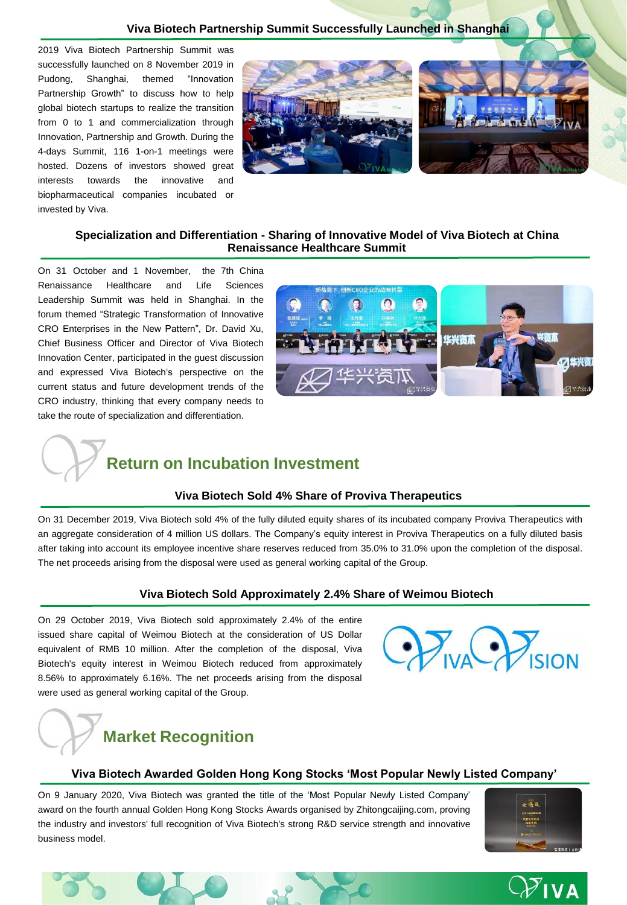2019 Viva Biotech Partnership Summit was successfully launched on 8 November 2019 in Pudong, Shanghai, themed "Innovation Partnership Growth" to discuss how to help global biotech startups to realize the transition from 0 to 1 and commercialization through Innovation, Partnership and Growth. During the 4-days Summit, 116 1-on-1 meetings were hosted. Dozens of investors showed great interests towards the innovative and biopharmaceutical companies incubated or invested by Viva.



#### **Specialization and Differentiation - Sharing of Innovative Model of Viva Biotech at China Renaissance Healthcare Summit**

On 31 October and 1 November, the 7th China Renaissance Healthcare and Life Sciences Leadership Summit was held in Shanghai. In the forum themed "Strategic Transformation of Innovative CRO Enterprises in the New Pattern", Dr. David Xu, Chief Business Officer and Director of Viva Biotech Innovation Center, participated in the guest discussion and expressed Viva Biotech's perspective on the current status and future development trends of the CRO industry, thinking that every company needs to take the route of specialization and differentiation.



### **Return on Incubation Investment**

#### **Viva Biotech Sold 4% Share of Proviva Therapeutics**

On 31 December 2019, Viva Biotech sold 4% of the fully diluted equity shares of its incubated company Proviva Therapeutics with an aggregate consideration of 4 million US dollars. The Company's equity interest in Proviva Therapeutics on a fully diluted basis after taking into account its employee incentive share reserves reduced from 35.0% to 31.0% upon the completion of the disposal. The net proceeds arising from the disposal were used as general working capital of the Group.

#### **Viva Biotech Sold Approximately 2.4% Share of Weimou Biotech**

On 29 October 2019, Viva Biotech sold approximately 2.4% of the entire issued share capital of Weimou Biotech at the consideration of US Dollar equivalent of RMB 10 million. After the completion of the disposal, Viva Biotech's equity interest in Weimou Biotech reduced from approximately 8.56% to approximately 6.16%. The net proceeds arising from the disposal were used as general working capital of the Group.



### **Market Recognition**

#### **Viva Biotech Awarded Golden Hong Kong Stocks 'Most Popular Newly Listed Company'**

On 9 January 2020, Viva Biotech was granted the title of the 'Most Popular Newly Listed Company' award on the fourth annual Golden Hong Kong Stocks Awards organised by Zhitongcaijing.com, proving the industry and investors' full recognition of Viva Biotech's strong R&D service strength and innovative business model.







## $\overline{\mathcal{V}}$ iva